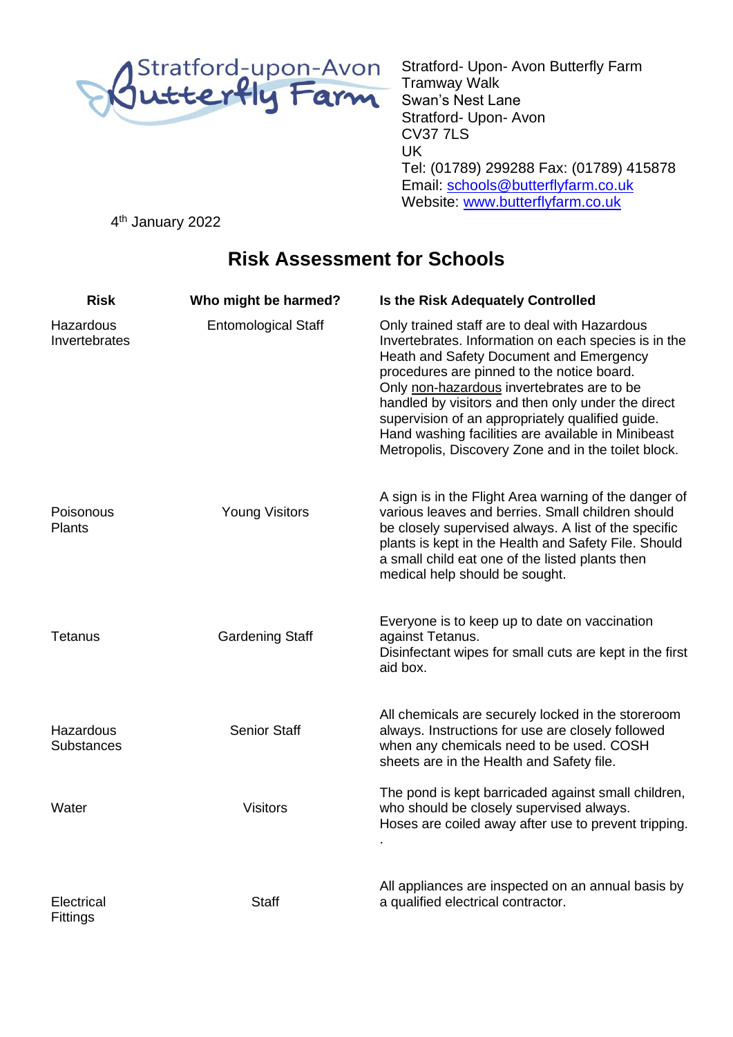

Stratford- Upon- Avon Butterfly Farm Tramway Walk Swan's Nest Lane Stratford- Upon- Avon CV37 7LS UK Tel: (01789) 299288 Fax: (01789) 415878 Email: [schools@butterflyfarm.co.uk](mailto:schools@butterflyfarm.co.uk) Website: [www.butterflyfarm.co.uk](http://www.butterflyfarm.co.uk/)

4<sup>th</sup> January 2022

## **Risk Assessment for Schools**

| <b>Risk</b>                    | Who might be harmed?       | <b>Is the Risk Adequately Controlled</b>                                                                                                                                                                                                                                                                                                                                                                                                                            |
|--------------------------------|----------------------------|---------------------------------------------------------------------------------------------------------------------------------------------------------------------------------------------------------------------------------------------------------------------------------------------------------------------------------------------------------------------------------------------------------------------------------------------------------------------|
| Hazardous<br>Invertebrates     | <b>Entomological Staff</b> | Only trained staff are to deal with Hazardous<br>Invertebrates. Information on each species is in the<br>Heath and Safety Document and Emergency<br>procedures are pinned to the notice board.<br>Only non-hazardous invertebrates are to be<br>handled by visitors and then only under the direct<br>supervision of an appropriately qualified guide.<br>Hand washing facilities are available in Minibeast<br>Metropolis, Discovery Zone and in the toilet block. |
| Poisonous<br><b>Plants</b>     | <b>Young Visitors</b>      | A sign is in the Flight Area warning of the danger of<br>various leaves and berries. Small children should<br>be closely supervised always. A list of the specific<br>plants is kept in the Health and Safety File. Should<br>a small child eat one of the listed plants then<br>medical help should be sought.                                                                                                                                                     |
| <b>Tetanus</b>                 | <b>Gardening Staff</b>     | Everyone is to keep up to date on vaccination<br>against Tetanus.<br>Disinfectant wipes for small cuts are kept in the first<br>aid box.                                                                                                                                                                                                                                                                                                                            |
| Hazardous<br><b>Substances</b> | <b>Senior Staff</b>        | All chemicals are securely locked in the storeroom<br>always. Instructions for use are closely followed<br>when any chemicals need to be used. COSH<br>sheets are in the Health and Safety file.                                                                                                                                                                                                                                                                    |
| Water                          | <b>Visitors</b>            | The pond is kept barricaded against small children,<br>who should be closely supervised always.<br>Hoses are coiled away after use to prevent tripping.                                                                                                                                                                                                                                                                                                             |
| Electrical<br>Fittings         | <b>Staff</b>               | All appliances are inspected on an annual basis by<br>a qualified electrical contractor.                                                                                                                                                                                                                                                                                                                                                                            |